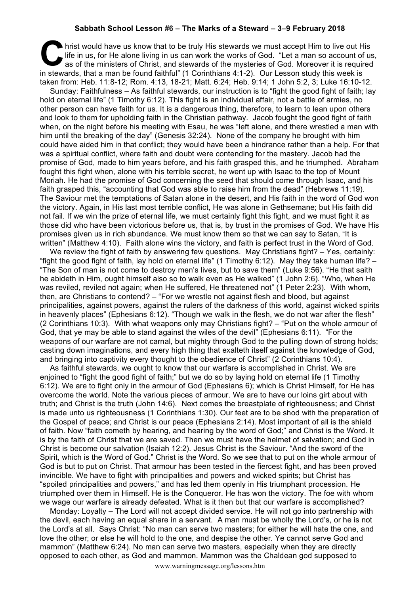## **Sabbath School Lesson #6 – The Marks of a Steward – 3–9 February 2018**

hrist would have us know that to be truly His stewards we must accept Him to live out His life in us, for He alone living in us can work the works of God. "Let a man so account of us as of the ministers of Christ, and stew life in us, for He alone living in us can work the works of God. "Let a man so account of us, as of the ministers of Christ, and stewards of the mysteries of God. Moreover it is required in stewards, that a man be found faithful" (1 Corinthians 4:1-2). Our Lesson study this week is taken from: Heb. 11:8-12; Rom. 4:13, 18-21; Matt. 6:24; Heb. 9:14; 1 John 5:2, 3; Luke 16:10-12.

Sunday: Faithfulness – As faithful stewards, our instruction is to "fight the good fight of faith; lay hold on eternal life" (1 Timothy 6:12). This fight is an individual affair, not a battle of armies, no other person can have faith for us. It is a dangerous thing, therefore, to learn to lean upon others and look to them for upholding faith in the Christian pathway. Jacob fought the good fight of faith when, on the night before his meeting with Esau, he was "left alone, and there wrestled a man with him until the breaking of the day" (Genesis 32:24). None of the company he brought with him could have aided him in that conflict; they would have been a hindrance rather than a help. For that was a spiritual conflict, where faith and doubt were contending for the mastery. Jacob had the promise of God, made to him years before, and his faith grasped this, and he triumphed. Abraham fought this fight when, alone with his terrible secret, he went up with Isaac to the top of Mount Moriah. He had the promise of God concerning the seed that should come through Isaac, and his faith grasped this, "accounting that God was able to raise him from the dead" (Hebrews 11:19). The Saviour met the temptations of Satan alone in the desert, and His faith in the word of God won the victory. Again, in His last most terrible conflict, He was alone in Gethsemane; but His faith did not fail. If we win the prize of eternal life, we must certainly fight this fight, and we must fight it as those did who have been victorious before us, that is, by trust in the promises of God. We have His promises given us in rich abundance. We must know them so that we can say to Satan, "It is written" (Matthew 4:10). Faith alone wins the victory, and faith is perfect trust in the Word of God.

We review the fight of faith by answering few questions. May Christians fight? – Yes, certainly: "fight the good fight of faith, lay hold on eternal life" (1 Timothy 6:12). May they take human life? – "The Son of man is not come to destroy men's lives, but to save them" (Luke 9:56). "He that saith he abideth in Him, ought himself also so to walk even as He walked" (1 John 2:6). "Who, when He was reviled, reviled not again; when He suffered, He threatened not" (1 Peter 2:23). With whom, then, are Christians to contend? – "For we wrestle not against flesh and blood, but against principalities, against powers, against the rulers of the darkness of this world, against wicked spirits in heavenly places" (Ephesians 6:12). "Though we walk in the flesh, we do not war after the flesh" (2 Corinthians 10:3). With what weapons only may Christians fight? – "Put on the whole armour of God, that ye may be able to stand against the wiles of the devil" (Ephesians 6:11). "For the weapons of our warfare are not carnal, but mighty through God to the pulling down of strong holds; casting down imaginations, and every high thing that exalteth itself against the knowledge of God, and bringing into captivity every thought to the obedience of Christ" (2 Corinthians 10:4).

As faithful stewards, we ought to know that our warfare is accomplished in Christ. We are enjoined to "fight the good fight of faith;" but we do so by laying hold on eternal life (1 Timothy 6:12). We are to fight only in the armour of God (Ephesians 6); which is Christ Himself, for He has overcome the world. Note the various pieces of armour. We are to have our loins girt about with truth; and Christ is the truth (John 14:6). Next comes the breastplate of righteousness; and Christ is made unto us righteousness (1 Corinthians 1:30). Our feet are to be shod with the preparation of the Gospel of peace; and Christ is our peace (Ephesians 2:14). Most important of all is the shield of faith. Now "faith cometh by hearing, and hearing by the word of God;" and Christ is the Word. It is by the faith of Christ that we are saved. Then we must have the helmet of salvation; and God in Christ is become our salvation (Isaiah 12:2). Jesus Christ is the Saviour. "And the sword of the Spirit, which is the Word of God." Christ is the Word. So we see that to put on the whole armour of God is but to put on Christ. That armour has been tested in the fiercest fight, and has been proved invincible. We have to fight with principalities and powers and wicked spirits; but Christ has "spoiled principalities and powers," and has led them openly in His triumphant procession. He triumphed over them in Himself. He is the Conqueror. He has won the victory. The foe with whom we wage our warfare is already defeated. What is it then but that our warfare is accomplished?

Monday: Loyalty – The Lord will not accept divided service. He will not go into partnership with the devil, each having an equal share in a servant. A man must be wholly the Lord's, or he is not the Lord's at all. Says Christ: "No man can serve two masters; for either he will hate the one, and love the other; or else he will hold to the one, and despise the other. Ye cannot serve God and mammon" (Matthew 6:24). No man can serve two masters, especially when they are directly opposed to each other, as God and mammon. Mammon was the Chaldean god supposed to